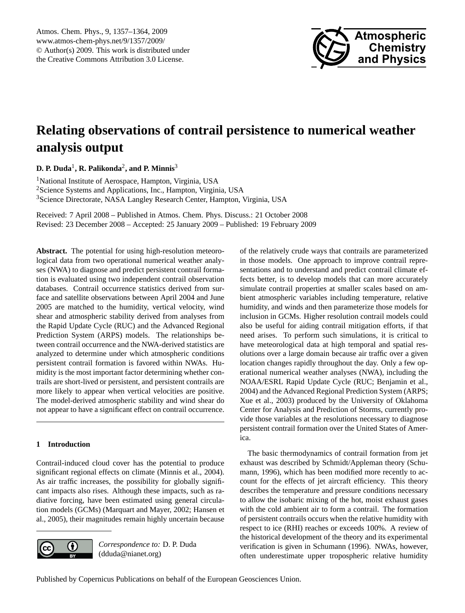

# <span id="page-0-0"></span>**Relating observations of contrail persistence to numerical weather analysis output**

**D. P. Duda**<sup>1</sup> **, R. Palikonda**<sup>2</sup> **, and P. Minnis**<sup>3</sup>

<sup>1</sup>National Institute of Aerospace, Hampton, Virginia, USA <sup>2</sup>Science Systems and Applications, Inc., Hampton, Virginia, USA <sup>3</sup>Science Directorate, NASA Langley Research Center, Hampton, Virginia, USA

Received: 7 April 2008 – Published in Atmos. Chem. Phys. Discuss.: 21 October 2008 Revised: 23 December 2008 – Accepted: 25 January 2009 – Published: 19 February 2009

**Abstract.** The potential for using high-resolution meteorological data from two operational numerical weather analyses (NWA) to diagnose and predict persistent contrail formation is evaluated using two independent contrail observation databases. Contrail occurrence statistics derived from surface and satellite observations between April 2004 and June 2005 are matched to the humidity, vertical velocity, wind shear and atmospheric stability derived from analyses from the Rapid Update Cycle (RUC) and the Advanced Regional Prediction System (ARPS) models. The relationships between contrail occurrence and the NWA-derived statistics are analyzed to determine under which atmospheric conditions persistent contrail formation is favored within NWAs. Humidity is the most important factor determining whether contrails are short-lived or persistent, and persistent contrails are more likely to appear when vertical velocities are positive. The model-derived atmospheric stability and wind shear do not appear to have a significant effect on contrail occurrence.

## **1 Introduction**

Contrail-induced cloud cover has the potential to produce significant regional effects on climate (Minnis et al., 2004). As air traffic increases, the possibility for globally significant impacts also rises. Although these impacts, such as radiative forcing, have been estimated using general circulation models (GCMs) (Marquart and Mayer, 2002; Hansen et al., 2005), their magnitudes remain highly uncertain because



*Correspondence to:* D. P. Duda (dduda@nianet.org)

of the relatively crude ways that contrails are parameterized in those models. One approach to improve contrail representations and to understand and predict contrail climate effects better, is to develop models that can more accurately simulate contrail properties at smaller scales based on ambient atmospheric variables including temperature, relative humidity, and winds and then parameterize those models for inclusion in GCMs. Higher resolution contrail models could also be useful for aiding contrail mitigation efforts, if that need arises. To perform such simulations, it is critical to have meteorological data at high temporal and spatial resolutions over a large domain because air traffic over a given location changes rapidly throughout the day. Only a few operational numerical weather analyses (NWA), including the NOAA/ESRL Rapid Update Cycle (RUC; Benjamin et al., 2004) and the Advanced Regional Prediction System (ARPS; Xue et al., 2003) produced by the University of Oklahoma Center for Analysis and Prediction of Storms, currently provide those variables at the resolutions necessary to diagnose persistent contrail formation over the United States of America.

The basic thermodynamics of contrail formation from jet exhaust was described by Schmidt/Appleman theory (Schumann, 1996), which has been modified more recently to account for the effects of jet aircraft efficiency. This theory describes the temperature and pressure conditions necessary to allow the isobaric mixing of the hot, moist exhaust gases with the cold ambient air to form a contrail. The formation of persistent contrails occurs when the relative humidity with respect to ice (RHI) reaches or exceeds 100%. A review of the historical development of the theory and its experimental verification is given in Schumann (1996). NWAs, however, often underestimate upper tropospheric relative humidity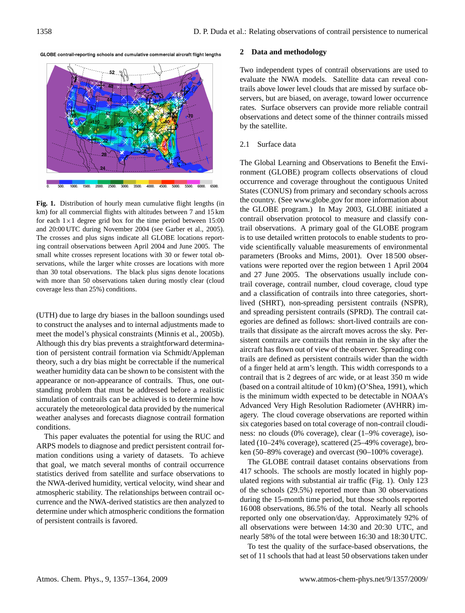GLOBE contrail-reporting schools and cumulative commercial aircraft flight lengths



Fig. 1. Distribution of hourly mean cumulative flight lengths (in km) for all commercial flights with altitudes between 7 and 15 km and 20:00 UTC during November 2004 (see Garber et al., 2005). The crosses and plus signs indicate all GLOBE locations reporting contrail observations between April 2004 and June 2005. The small white crosses represent locations with 30 or fewer total observations, while the larger white crosses are locations with more than 30 total observations. The black plus signs denote locations for each  $1 \times 1$  degree grid box for the time period between  $15:00$ with more than 50 observations taken during mostly clear (cloud coverage less than 25%) conditions.

(UTH) due to large dry biases in the balloon soundings used to construct the analyses and to internal adjustments made to meet the model's physical constraints (Minnis et al., 2005b). Although this dry bias prevents a straightforward determination of persistent contrail formation via Schmidt/Appleman theory, such a dry bias might be correctable if the numerical weather humidity data can be shown to be consistent with the appearance or non-appearance of contrails. Thus, one outstanding problem that must be addressed before a realistic simulation of contrails can be achieved is to determine how accurately the meteorological data provided by the numerical weather analyses and forecasts diagnose contrail formation conditions.

This paper evaluates the potential for using the RUC and ARPS models to diagnose and predict persistent contrail formation conditions using a variety of datasets. To achieve that goal, we match several months of contrail occurrence statistics derived from satellite and surface observations to the NWA-derived humidity, vertical velocity, wind shear and atmospheric stability. The relationships between contrail occurrence and the NWA-derived statistics are then analyzed to determine under which atmospheric conditions the formation of persistent contrails is favored.

#### **2 Data and methodology**

Two independent types of contrail observations are used to evaluate the NWA models. Satellite data can reveal contrails above lower level clouds that are missed by surface observers, but are biased, on average, toward lower occurrence rates. Surface observers can provide more reliable contrail observations and detect some of the thinner contrails missed by the satellite.

#### 2.1 Surface data

The Global Learning and Observations to Benefit the Environment (GLOBE) program collects observations of cloud occurrence and coverage throughout the contiguous United States (CONUS) from primary and secondary schools across the country. (See www.globe.gov for more information about the GLOBE program.) In May 2003, GLOBE initiated a contrail observation protocol to measure and classify contrail observations. A primary goal of the GLOBE program is to use detailed written protocols to enable students to provide scientifically valuable measurements of environmental parameters (Brooks and Mims, 2001). Over 18 500 observations were reported over the region between 1 April 2004 and 27 June 2005. The observations usually include contrail coverage, contrail number, cloud coverage, cloud type and a classification of contrails into three categories, shortlived (SHRT), non-spreading persistent contrails (NSPR), and spreading persistent contrails (SPRD). The contrail categories are defined as follows: short-lived contrails are contrails that dissipate as the aircraft moves across the sky. Persistent contrails are contrails that remain in the sky after the aircraft has flown out of view of the observer. Spreading contrails are defined as persistent contrails wider than the width of a finger held at arm's length. This width corresponds to a contrail that is 2 degrees of arc wide, or at least 350 m wide (based on a contrail altitude of 10 km) (O'Shea, 1991), which is the minimum width expected to be detectable in NOAA's Advanced Very High Resolution Radiometer (AVHRR) imagery. The cloud coverage observations are reported within six categories based on total coverage of non-contrail cloudiness: no clouds (0% coverage), clear (1–9% coverage), isolated (10–24% coverage), scattered (25–49% coverage), broken (50–89% coverage) and overcast (90–100% coverage).

The GLOBE contrail dataset contains observations from 417 schools. The schools are mostly located in highly populated regions with substantial air traffic (Fig. 1). Only 123 of the schools (29.5%) reported more than 30 observations during the 15-month time period, but those schools reported 16 008 observations, 86.5% of the total. Nearly all schools reported only one observation/day. Approximately 92% of all observations were between 14:30 and 20:30 UTC, and nearly 58% of the total were between 16:30 and 18:30 UTC.

To test the quality of the surface-based observations, the set of 11 schools that had at least 50 observations taken under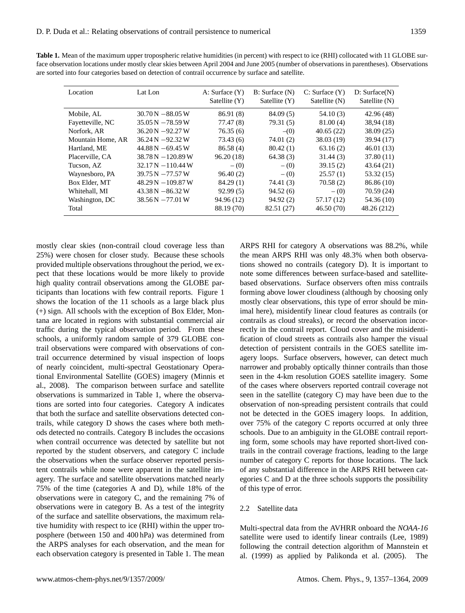| Location          | Lat Lon              | A: Surface(Y)<br>Satellite (Y) | B: Surface(N)<br>Satellite (Y) | C: Surface(Y)<br>Satellite (N) | D: Surface(N)<br>Satellite (N) |
|-------------------|----------------------|--------------------------------|--------------------------------|--------------------------------|--------------------------------|
| Mobile, AL        | $30.70 N - 88.05 W$  | 86.91 (8)                      | 84.09(5)                       | 54.10 (3)                      | 42.96 (48)                     |
| Fayetteville, NC  | $35.05 N - 78.59 W$  | 77.47(8)                       | 79.31(5)                       | 81.00(4)                       | 38,94 (18)                     |
| Norfork, AR       | $36.20 N - 92.27 W$  | 76.35(6)                       | $-(0)$                         | 40.65(22)                      | 38.09(25)                      |
| Mountain Home, AR | $36.24 N - 92.32 W$  | 73.43(6)                       | 74.01(2)                       | 38.03(19)                      | 39.94 (17)                     |
| Hartland, ME      | $44.88 N - 69.45 W$  | 86.58(4)                       | 80.42(1)                       | 63.16(2)                       | 46.01(13)                      |
| Placerville, CA   | $38.78 N - 120.89 W$ | 96.20(18)                      | 64.38(3)                       | 31.44(3)                       | 37.80(11)                      |
| Tucson, AZ        | $32.17 N - 110.44 W$ | $-$ (0)                        | $- (0)$                        | 39.15(2)                       | 43.64 (21)                     |
| Waynesboro, PA    | $39.75 N - 77.57 W$  | 96.40(2)                       | $-$ (0)                        | 25.57(1)                       | 53.32 (15)                     |
| Box Elder, MT     | $48.29 N - 109.87 W$ | 84.29(1)                       | 74.41 (3)                      | 70.58(2)                       | 86.86 (10)                     |
| Whitehall, MI     | $43.38 N - 86.32 W$  | 92.99(5)                       | 94.52(6)                       | $-$ (0)                        | 70.59(24)                      |
| Washington, DC    | $38.56 N - 77.01 W$  | 94.96 (12)                     | 94.92(2)                       | 57.17 (12)                     | 54.36 (10)                     |
| Total             |                      | 88.19 (70)                     | 82.51 (27)                     | 46.50 (70)                     | 48.26 (212)                    |

**Table 1.** Mean of the maximum upper tropospheric relative humidities (in percent) with respect to ice (RHI) collocated with 11 GLOBE surface observation locations under mostly clear skies between April 2004 and June 2005 (number of observations in parentheses). Observations are sorted into four categories based on detection of contrail occurrence by surface and satellite.

mostly clear skies (non-contrail cloud coverage less than 25%) were chosen for closer study. Because these schools provided multiple observations throughout the period, we expect that these locations would be more likely to provide high quality contrail observations among the GLOBE participants than locations with few contrail reports. Figure 1 shows the location of the 11 schools as a large black plus (+) sign. All schools with the exception of Box Elder, Montana are located in regions with substantial commercial air traffic during the typical observation period. From these schools, a uniformly random sample of 379 GLOBE contrail observations were compared with observations of contrail occurrence determined by visual inspection of loops of nearly coincident, multi-spectral Geostationary Operational Environmental Satellite (GOES) imagery (Minnis et al., 2008). The comparison between surface and satellite observations is summarized in Table 1, where the observations are sorted into four categories. Category A indicates that both the surface and satellite observations detected contrails, while category D shows the cases where both methods detected no contrails. Category B includes the occasions when contrail occurrence was detected by satellite but not reported by the student observers, and category C include the observations when the surface observer reported persistent contrails while none were apparent in the satellite imagery. The surface and satellite observations matched nearly 75% of the time (categories A and D), while 18% of the observations were in category C, and the remaining 7% of observations were in category B. As a test of the integrity of the surface and satellite observations, the maximum relative humidity with respect to ice (RHI) within the upper troposphere (between 150 and 400 hPa) was determined from the ARPS analyses for each observation, and the mean for each observation category is presented in Table 1. The mean ARPS RHI for category A observations was 88.2%, while the mean ARPS RHI was only 48.3% when both observations showed no contrails (category D). It is important to note some differences between surface-based and satellitebased observations. Surface observers often miss contrails forming above lower cloudiness (although by choosing only mostly clear observations, this type of error should be minimal here), misidentify linear cloud features as contrails (or contrails as cloud streaks), or record the observation incorrectly in the contrail report. Cloud cover and the misidentification of cloud streets as contrails also hamper the visual detection of persistent contrails in the GOES satellite imagery loops. Surface observers, however, can detect much narrower and probably optically thinner contrails than those seen in the 4-km resolution GOES satellite imagery. Some of the cases where observers reported contrail coverage not seen in the satellite (category C) may have been due to the observation of non-spreading persistent contrails that could not be detected in the GOES imagery loops. In addition, over 75% of the category C reports occurred at only three schools. Due to an ambiguity in the GLOBE contrail reporting form, some schools may have reported short-lived contrails in the contrail coverage fractions, leading to the large number of category C reports for those locations. The lack of any substantial difference in the ARPS RHI between categories C and D at the three schools supports the possibility of this type of error.

#### 2.2 Satellite data

Multi-spectral data from the AVHRR onboard the *NOAA-16* satellite were used to identify linear contrails (Lee, 1989) following the contrail detection algorithm of Mannstein et al. (1999) as applied by Palikonda et al. (2005). The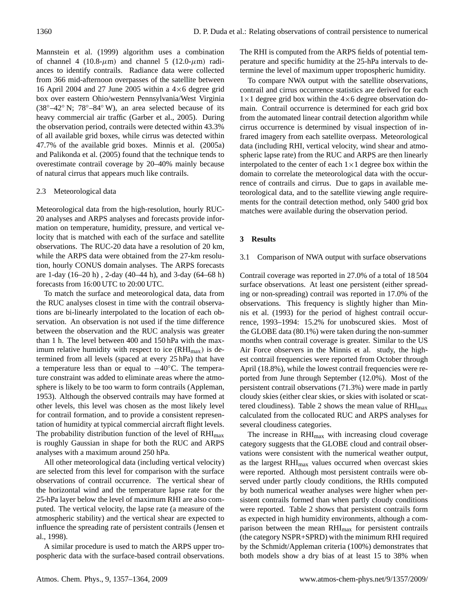Mannstein et al. (1999) algorithm uses a combination of channel 4 (10.8- $\mu$ m) and channel 5 (12.0- $\mu$ m) radiances to identify contrails. Radiance data were collected from 366 mid-afternoon overpasses of the satellite between 16 April 2004 and 27 June 2005 within a  $4\times 6$  degree grid box over eastern Ohio/western Pennsylvania/West Virginia (38°–42° N; 78°–84° W), an area selected because of its heavy commercial air traffic (Garber et al., 2005). During the observation period, contrails were detected within 43.3% of all available grid boxes, while cirrus was detected within 47.7% of the available grid boxes. Minnis et al. (2005a) and Palikonda et al. (2005) found that the technique tends to overestimate contrail coverage by 20–40% mainly because of natural cirrus that appears much like contrails.

#### 2.3 Meteorological data

Meteorological data from the high-resolution, hourly RUC-20 analyses and ARPS analyses and forecasts provide information on temperature, humidity, pressure, and vertical velocity that is matched with each of the surface and satellite observations. The RUC-20 data have a resolution of 20 km, while the ARPS data were obtained from the 27-km resolution, hourly CONUS domain analyses. The ARPS forecasts are 1-day (16–20 h) , 2-day (40–44 h), and 3-day (64–68 h) forecasts from 16:00 UTC to 20:00 UTC.

To match the surface and meteorological data, data from the RUC analyses closest in time with the contrail observations are bi-linearly interpolated to the location of each observation. An observation is not used if the time difference between the observation and the RUC analysis was greater than 1 h. The level between 400 and 150 hPa with the maximum relative humidity with respect to ice  $(RHI<sub>max</sub>)$  is determined from all levels (spaced at every 25 hPa) that have a temperature less than or equal to −40◦C. The temperature constraint was added to eliminate areas where the atmosphere is likely to be too warm to form contrails (Appleman, 1953). Although the observed contrails may have formed at other levels, this level was chosen as the most likely level for contrail formation, and to provide a consistent representation of humidity at typical commercial aircraft flight levels. The probability distribution function of the level of  $RHI<sub>max</sub>$ is roughly Gaussian in shape for both the RUC and ARPS analyses with a maximum around 250 hPa.

All other meteorological data (including vertical velocity) are selected from this level for comparison with the surface observations of contrail occurrence. The vertical shear of the horizontal wind and the temperature lapse rate for the 25-hPa layer below the level of maximum RHI are also computed. The vertical velocity, the lapse rate (a measure of the atmospheric stability) and the vertical shear are expected to influence the spreading rate of persistent contrails (Jensen et al., 1998).

A similar procedure is used to match the ARPS upper tropospheric data with the surface-based contrail observations. The RHI is computed from the ARPS fields of potential temperature and specific humidity at the 25-hPa intervals to determine the level of maximum upper tropospheric humidity.

To compare NWA output with the satellite observations, contrail and cirrus occurrence statistics are derived for each  $1\times1$  degree grid box within the  $4\times6$  degree observation domain. Contrail occurrence is determined for each grid box from the automated linear contrail detection algorithm while cirrus occurrence is determined by visual inspection of infrared imagery from each satellite overpass. Meteorological data (including RHI, vertical velocity, wind shear and atmospheric lapse rate) from the RUC and ARPS are then linearly interpolated to the center of each  $1 \times 1$  degree box within the domain to correlate the meteorological data with the occurrence of contrails and cirrus. Due to gaps in available meteorological data, and to the satellite viewing angle requirements for the contrail detection method, only 5400 grid box matches were available during the observation period.

#### **3 Results**

#### 3.1 Comparison of NWA output with surface observations

Contrail coverage was reported in 27.0% of a total of 18 504 surface observations. At least one persistent (either spreading or non-spreading) contrail was reported in 17.0% of the observations. This frequency is slightly higher than Minnis et al. (1993) for the period of highest contrail occurrence, 1993–1994: 15.2% for unobscured skies. Most of the GLOBE data (80.1%) were taken during the non-summer months when contrail coverage is greater. Similar to the US Air Force observers in the Minnis et al. study, the highest contrail frequencies were reported from October through April (18.8%), while the lowest contrail frequencies were reported from June through September (12.0%). Most of the persistent contrail observations (71.3%) were made in partly cloudy skies (either clear skies, or skies with isolated or scattered cloudiness). Table 2 shows the mean value of  $RHI<sub>max</sub>$ calculated from the collocated RUC and ARPS analyses for several cloudiness categories.

The increase in  $RHI<sub>max</sub>$  with increasing cloud coverage category suggests that the GLOBE cloud and contrail observations were consistent with the numerical weather output, as the largest RHImax values occurred when overcast skies were reported. Although most persistent contrails were observed under partly cloudy conditions, the RHIs computed by both numerical weather analyses were higher when persistent contrails formed than when partly cloudy conditions were reported. Table 2 shows that persistent contrails form as expected in high humidity environments, although a comparison between the mean RHI<sub>max</sub> for persistent contrails (the category NSPR+SPRD) with the minimum RHI required by the Schmidt/Appleman criteria (100%) demonstrates that both models show a dry bias of at least 15 to 38% when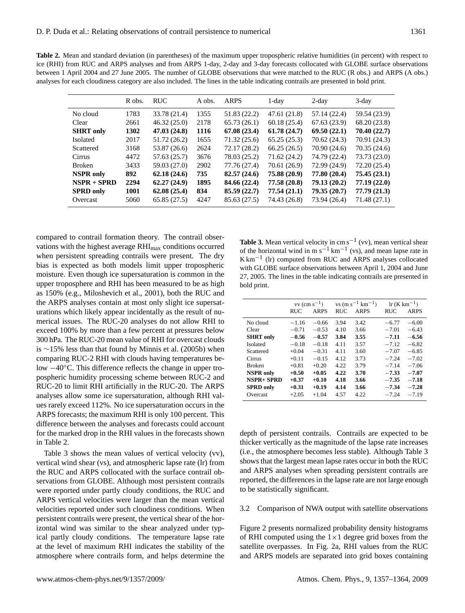**Table 2.** Mean and standard deviation (in parentheses) of the maximum upper tropospheric relative humidities (in percent) with respect to ice (RHI) from RUC and ARPS analyses and from ARPS 1-day, 2-day and 3-day forecasts collocated with GLOBE surface observations between 1 April 2004 and 27 June 2005. The number of GLOBE observations that were matched to the RUC (R obs.) and ARPS (A obs.) analyses for each cloudiness category are also included. The lines in the table indicating contrails are presented in bold print.

|                  | R obs. | <b>RUC</b>   | A obs. | <b>ARPS</b>  | $1$ -day     | $2$ -day     | $3$ -day     |
|------------------|--------|--------------|--------|--------------|--------------|--------------|--------------|
| No cloud         | 1783   | 33.78 (21.4) | 1355   | 51.83 (22.2) | 47.61 (21.8) | 57.14 (22.4) | 59.54 (23.9) |
| Clear            | 2661   | 46.32(25.0)  | 2178   | 65.73(26.1)  | 60.18(25.4)  | 67.63(23.9)  | 68.20 (23.8) |
| <b>SHRT</b> only | 1302   | 47.03 (24.8) | 1116   | 67.08(23.4)  | 61.78(24.7)  | 69.50(22.1)  | 70.40(22.7)  |
| Isolated         | 2017   | 51.72 (26.2) | 1655   | 71.32(25.6)  | 65.25(25.3)  | 70.62 (24.3) | 70.91 (24.3) |
| Scattered        | 3168   | 53.87 (26.6) | 2624   | 72.17 (28.2) | 66.25(26.5)  | 70.90 (24.6) | 70.35 (24.6) |
| Cirrus           | 4472   | 57.63 (25.7) | 3676   | 78.03 (25.2) | 71.62(24.2)  | 74.79 (22.4) | 73.73 (23.0) |
| <b>Broken</b>    | 3433   | 59.03 (27.0) | 2902   | 77.76 (27.4) | 70.61 (26.9) | 72.99 (24.9) | 72.20(25.4)  |
| <b>NSPR</b> only | 892    | 62.18(24.6)  | 735    | 82.57(24.6)  | 75.88 (20.9) | 77.80 (20.4) | 75.45(23.1)  |
| $NSPR + SPRD$    | 2294   | 62.27(24.9)  | 1895   | 84.66 (22.4) | 77.58 (20.8) | 79.13(20.2)  | 77.19(22.0)  |
| <b>SPRD</b> only | 1001   | 62.08(25.4)  | 834    | 85.59(22.7)  | 77.54(21.1)  | 79.35(20.7)  | 77.79(21.3)  |
| Overcast         | 5060   | 65.85(27.5)  | 4247   | 85.63 (27.5) | 74.43 (26.8) | 73.94 (26.4) | 71.48 (27.1) |
|                  |        |              |        |              |              |              |              |

compared to contrail formation theory. The contrail observations with the highest average  $RHI<sub>max</sub>$  conditions occurred when persistent spreading contrails were present. The dry bias is expected as both models limit upper tropospheric moisture. Even though ice supersaturation is common in the upper troposphere and RHI has been measured to be as high as 150% (e.g., Miloshevich et al., 2001), both the RUC and the ARPS analyses contain at most only slight ice supersaturations which likely appear incidentally as the result of numerical issues. The RUC-20 analyses do not allow RHI to exceed 100% by more than a few percent at pressures below 300 hPa. The RUC-20 mean value of RHI for overcast clouds is ∼15% less than that found by Minnis et al. (2005b) when comparing RUC-2 RHI with clouds having temperatures below −40◦C. This difference reflects the change in upper tropospheric humidity processing scheme between RUC-2 and RUC-20 to limit RHI artificially in the RUC-20. The ARPS analyses allow some ice supersaturation, although RHI values rarely exceed 112%. No ice supersaturation occurs in the ARPS forecasts; the maximum RHI is only 100 percent. This difference between the analyses and forecasts could account for the marked drop in the RHI values in the forecasts shown in Table 2.

Table 3 shows the mean values of vertical velocity (vv), vertical wind shear (vs), and atmospheric lapse rate (lr) from the RUC and ARPS collocated with the surface contrail observations from GLOBE. Although most persistent contrails were reported under partly cloudy conditions, the RUC and ARPS vertical velocities were larger than the mean vertical velocities reported under such cloudiness conditions. When persistent contrails were present, the vertical shear of the horizontal wind was similar to the shear analyzed under typical partly cloudy conditions. The temperature lapse rate at the level of maximum RHI indicates the stability of the atmosphere where contrails form, and helps determine the

**Table 3.** Mean vertical velocity in  $\text{cm s}^{-1}$  (vv), mean vertical shear of the horizontal wind in m  $s^{-1}$  km<sup>-1</sup> (vs), and mean lapse rate in K km−<sup>1</sup> (lr) computed from RUC and ARPS analyses collocated with GLOBE surface observations between April 1, 2004 and June 27, 2005. The lines in the table indicating contrails are presented in bold print.

|                  | $vv$ (cm s <sup>-1</sup> ) |             | $\text{vs}$ (m s <sup>-1</sup> km <sup>-1</sup> ) |             | $\ln(K \text{ km}^{-1})$ |             |
|------------------|----------------------------|-------------|---------------------------------------------------|-------------|--------------------------|-------------|
|                  | <b>RUC</b>                 | <b>ARPS</b> | <b>RUC</b>                                        | <b>ARPS</b> | <b>RUC</b>               | <b>ARPS</b> |
| No cloud         | $-1.16$                    | $-0.66$     | 3.94                                              | 3.42        | $-6.77$                  | $-6.00$     |
| Clear            | $-0.71$                    | $-0.53$     | 4.10                                              | 3.66        | $-7.01$                  | $-6.43$     |
| <b>SHRT</b> only | $-0.56$                    | $-0.57$     | 3.84                                              | 3.55        | $-7.11$                  | $-6.56$     |
| <b>Isolated</b>  | $-0.18$                    | $-0.18$     | 4.11                                              | 3.57        | $-7.12$                  | $-6.82$     |
| Scattered        | $+0.04$                    | $-0.31$     | 4.11                                              | 3.60        | $-7.07$                  | $-6.85$     |
| Cirrus           | $+0.11$                    | $-0.15$     | 4.12                                              | 3.73        | $-7.24$                  | $-7.02$     |
| <b>Broken</b>    | $+0.81$                    | $+0.20$     | 4.22                                              | 3.79        | $-7.14$                  | $-7.06$     |
| <b>NSPR</b> only | $+0.50$                    | $+0.05$     | 4.22                                              | 3.70        | $-7.33$                  | $-7.07$     |
| NSPR+ SPRD       | $+0.37$                    | $+0.10$     | 4.18                                              | 3.66        | $-7.35$                  | $-7.18$     |
| <b>SPRD</b> only | $+0.31$                    | $+0.19$     | 4.14                                              | 3.66        | $-7.34$                  | $-7.28$     |
| Overcast         | $+2.05$                    | $+1.04$     | 4.57                                              | 4.22        | $-7.24$                  | $-7.19$     |

depth of persistent contrails. Contrails are expected to be thicker vertically as the magnitude of the lapse rate increases (i.e., the atmosphere becomes less stable). Although Table 3 shows that the largest mean lapse rates occur in both the RUC and ARPS analyses when spreading persistent contrails are reported, the differences in the lapse rate are not large enough to be statistically significant.

### 3.2 Comparison of NWA output with satellite observations

Figure 2 presents normalized probability density histograms of RHI computed using the  $1 \times 1$  degree grid boxes from the satellite overpasses. In Fig. 2a, RHI values from the RUC and ARPS models are separated into grid boxes containing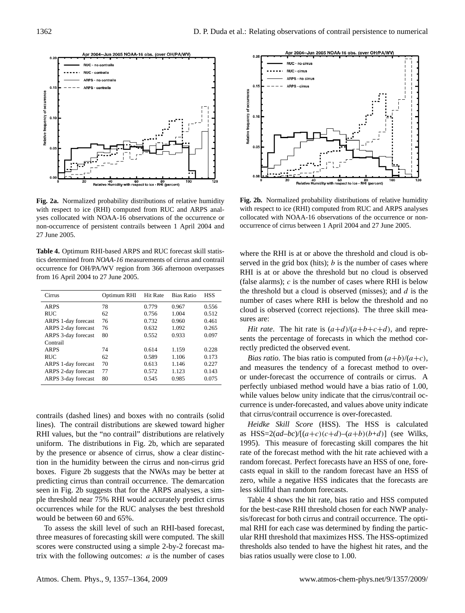

with respect to ice (RHI) computed from RUC and ARPS analyses collocated with NOAA-16 observations of the occurrence or non-occurrence of persistent contrails between 1 April 2004 and **Fig. 2a.** Normalized probability distributions of relative humidity 27 June 2005.

**Table 4.** Optimum RHI-based ARPS and RUC forecast skill statistics determined from *NOAA-16* measurements of cirrus and contrail occurrence for OH/PA/WV region from 366 afternoon overpasses from 16 April 2004 to 27 June 2005.

| Cirrus              | Optimum RHI | Hit Rate | <b>Bias Ratio</b> | <b>HSS</b> |
|---------------------|-------------|----------|-------------------|------------|
| <b>ARPS</b>         | 78          | 0.779    | 0.967             | 0.556      |
| <b>RUC</b>          | 62          | 0.756    | 1.004             | 0.512      |
| ARPS 1-day forecast | 76          | 0.732    | 0.960             | 0.461      |
| ARPS 2-day forecast | 76          | 0.632    | 1.092             | 0.265      |
| ARPS 3-day forecast | 80          | 0.552    | 0.933             | 0.097      |
| Contrail            |             |          |                   |            |
| <b>ARPS</b>         | 74          | 0.614    | 1.159             | 0.228      |
| <b>RUC</b>          | 62          | 0.589    | 1.106             | 0.173      |
| ARPS 1-day forecast | 70          | 0.613    | 1.146             | 0.227      |
| ARPS 2-day forecast | 77          | 0.572    | 1.123             | 0.143      |
| ARPS 3-day forecast | 80          | 0.545    | 0.985             | 0.075      |

contrails (dashed lines) and boxes with no contrails (solid lines). The contrail distributions are skewed toward higher RHI values, but the "no contrail" distributions are relatively uniform. The distributions in Fig. 2b, which are separated by the presence or absence of cirrus, show a clear distinction in the humidity between the cirrus and non-cirrus grid boxes. Figure 2b suggests that the NWAs may be better at predicting cirrus than contrail occurrence. The demarcation seen in Fig. 2b suggests that for the ARPS analyses, a simple threshold near 75% RHI would accurately predict cirrus occurrences while for the RUC analyses the best threshold would be between 60 and 65%.

To assess the skill level of such an RHI-based forecast, three measures of forecasting skill were computed. The skill scores were constructed using a simple 2-by-2 forecast matrix with the following outcomes:  $a$  is the number of cases



with respect to ice (RHI) computed from RUC and ARPS analyses collocated with NOAA-16 observations of the occurrence or nonoccurrence of cirrus between 1 April 2004 and 27 June 2005. **Fig. 2b.** Normalized probability distributions of relative humidity

where the RHI is at or above the threshold and cloud is observed in the grid box (hits);  $b$  is the number of cases where RHI is at or above the threshold but no cloud is observed (false alarms);  $c$  is the number of cases where RHI is below the threshold but a cloud is observed (misses); and  $d$  is the number of cases where RHI is below the threshold and no cloud is observed (correct rejections). The three skill measures are:

*Hit rate*. The hit rate is  $\frac{a+d}{a+b+c+d}$ , and represents the percentage of forecasts in which the method correctly predicted the observed event.

*Bias ratio*. The bias ratio is computed from  $\left(\frac{a+b}{a+c}\right)$ , and measures the tendency of a forecast method to overor under-forecast the occurrence of contrails or cirrus. A perfectly unbiased method would have a bias ratio of 1.00, while values below unity indicate that the cirrus/contrail occurrence is under-forecasted, and values above unity indicate that cirrus/contrail occurrence is over-forecasted.

*Heidke Skill Score* (HSS). The HSS is calculated as HSS= $2(ad-bc)/[(a+c)(c+d)-(a+b)(b+d)]$  (see Wilks, 1995). This measure of forecasting skill compares the hit rate of the forecast method with the hit rate achieved with a random forecast. Perfect forecasts have an HSS of one, forecasts equal in skill to the random forecast have an HSS of zero, while a negative HSS indicates that the forecasts are less skillful than random forecasts.

Table 4 shows the hit rate, bias ratio and HSS computed for the best-case RHI threshold chosen for each NWP analysis/forecast for both cirrus and contrail occurrence. The optimal RHI for each case was determined by finding the particular RHI threshold that maximizes HSS. The HSS-optimized thresholds also tended to have the highest hit rates, and the bias ratios usually were close to 1.00.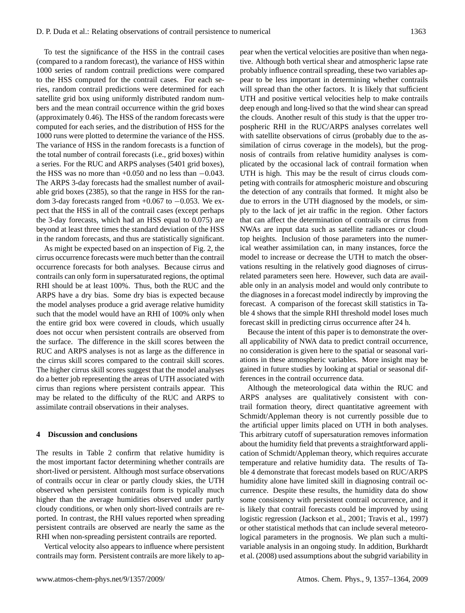To test the significance of the HSS in the contrail cases (compared to a random forecast), the variance of HSS within 1000 series of random contrail predictions were compared to the HSS computed for the contrail cases. For each series, random contrail predictions were determined for each satellite grid box using uniformly distributed random numbers and the mean contrail occurrence within the grid boxes (approximately 0.46). The HSS of the random forecasts were computed for each series, and the distribution of HSS for the 1000 runs were plotted to determine the variance of the HSS. The variance of HSS in the random forecasts is a function of the total number of contrail forecasts (i.e., grid boxes) within a series. For the RUC and ARPS analyses (5401 grid boxes), the HSS was no more than  $+0.050$  and no less than  $-0.043$ . The ARPS 3-day forecasts had the smallest number of available grid boxes (2385), so that the range in HSS for the random 3-day forecasts ranged from +0.067 to −0.053. We expect that the HSS in all of the contrail cases (except perhaps the 3-day forecasts, which had an HSS equal to 0.075) are beyond at least three times the standard deviation of the HSS in the random forecasts, and thus are statistically significant.

As might be expected based on an inspection of Fig. 2, the cirrus occurrence forecasts were much better than the contrail occurrence forecasts for both analyses. Because cirrus and contrails can only form in supersaturated regions, the optimal RHI should be at least 100%. Thus, both the RUC and the ARPS have a dry bias. Some dry bias is expected because the model analyses produce a grid average relative humidity such that the model would have an RHI of 100% only when the entire grid box were covered in clouds, which usually does not occur when persistent contrails are observed from the surface. The difference in the skill scores between the RUC and ARPS analyses is not as large as the difference in the cirrus skill scores compared to the contrail skill scores. The higher cirrus skill scores suggest that the model analyses do a better job representing the areas of UTH associated with cirrus than regions where persistent contrails appear. This may be related to the difficulty of the RUC and ARPS to assimilate contrail observations in their analyses.

#### **4 Discussion and conclusions**

The results in Table 2 confirm that relative humidity is the most important factor determining whether contrails are short-lived or persistent. Although most surface observations of contrails occur in clear or partly cloudy skies, the UTH observed when persistent contrails form is typically much higher than the average humidities observed under partly cloudy conditions, or when only short-lived contrails are reported. In contrast, the RHI values reported when spreading persistent contrails are observed are nearly the same as the RHI when non-spreading persistent contrails are reported.

Vertical velocity also appears to influence where persistent contrails may form. Persistent contrails are more likely to appear when the vertical velocities are positive than when negative. Although both vertical shear and atmospheric lapse rate probably influence contrail spreading, these two variables appear to be less important in determining whether contrails will spread than the other factors. It is likely that sufficient UTH and positive vertical velocities help to make contrails deep enough and long-lived so that the wind shear can spread the clouds. Another result of this study is that the upper tropospheric RHI in the RUC/ARPS analyses correlates well with satellite observations of cirrus (probably due to the assimilation of cirrus coverage in the models), but the prognosis of contrails from relative humidity analyses is complicated by the occasional lack of contrail formation when UTH is high. This may be the result of cirrus clouds competing with contrails for atmospheric moisture and obscuring the detection of any contrails that formed. It might also be due to errors in the UTH diagnosed by the models, or simply to the lack of jet air traffic in the region. Other factors that can affect the determination of contrails or cirrus from NWAs are input data such as satellite radiances or cloudtop heights. Inclusion of those parameters into the numerical weather assimilation can, in many instances, force the model to increase or decrease the UTH to match the observations resulting in the relatively good diagnoses of cirrusrelated parameters seen here. However, such data are available only in an analysis model and would only contribute to the diagnoses in a forecast model indirectly by improving the forecast. A comparison of the forecast skill statistics in Table 4 shows that the simple RHI threshold model loses much forecast skill in predicting cirrus occurrence after 24 h.

Because the intent of this paper is to demonstrate the overall applicability of NWA data to predict contrail occurrence, no consideration is given here to the spatial or seasonal variations in these atmospheric variables. More insight may be gained in future studies by looking at spatial or seasonal differences in the contrail occurrence data.

Although the meteorological data within the RUC and ARPS analyses are qualitatively consistent with contrail formation theory, direct quantitative agreement with Schmidt/Appleman theory is not currently possible due to the artificial upper limits placed on UTH in both analyses. This arbitrary cutoff of supersaturation removes information about the humidity field that prevents a straightforward application of Schmidt/Appleman theory, which requires accurate temperature and relative humidity data. The results of Table 4 demonstrate that forecast models based on RUC/ARPS humidity alone have limited skill in diagnosing contrail occurrence. Despite these results, the humidity data do show some consistency with persistent contrail occurrence, and it is likely that contrail forecasts could be improved by using logistic regression (Jackson et al., 2001; Travis et al., 1997) or other statistical methods that can include several meteorological parameters in the prognosis. We plan such a multivariable analysis in an ongoing study. In addition, Burkhardt et al. (2008) used assumptions about the subgrid variability in